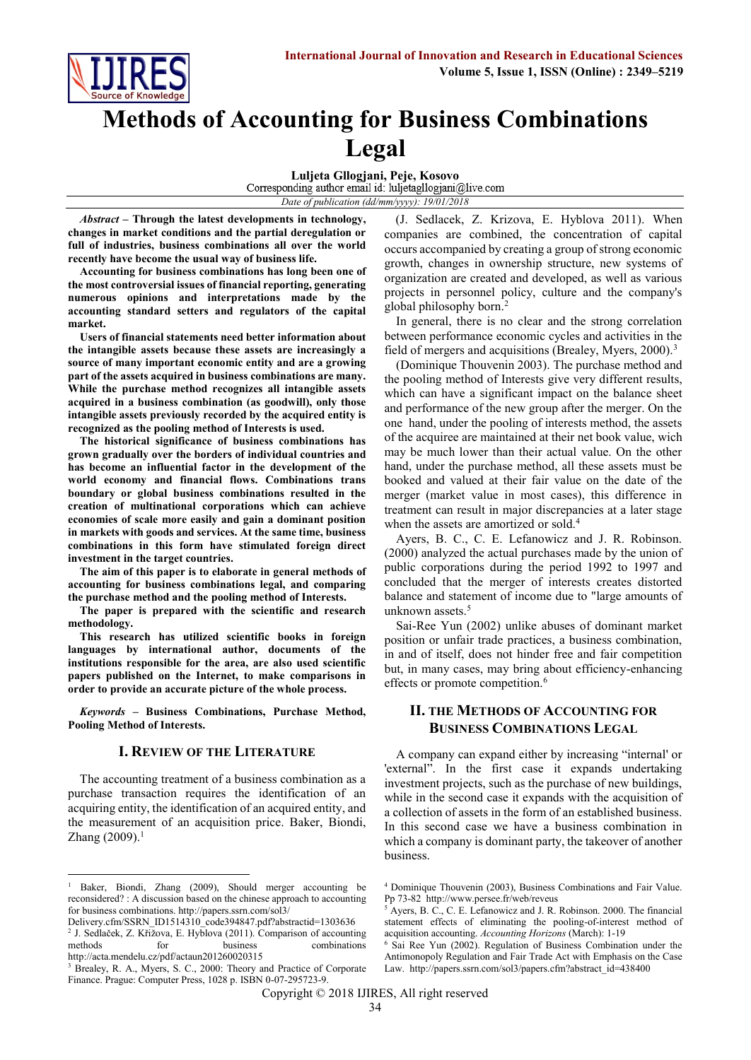

# **Methods of Accounting for Business Combinations Legal**

**Luljeta Gllogjani, Peje, Kosovo** *Date of publication (dd/mm/yyyy): 19/01/2018*

*Abstract* **– Through the latest developments in technology, changes in market conditions and the partial deregulation or full of industries, business combinations all over the world recently have become the usual way of business life.**

**Accounting for business combinations has long been one of the most controversial issues of financial reporting, generating numerous opinions and interpretations made by the accounting standard setters and regulators of the capital market.**

**Users of financial statements need better information about the intangible assets because these assets are increasingly a source of many important economic entity and are a growing part of the assets acquired in business combinations are many. While the purchase method recognizes all intangible assets acquired in a business combination (as goodwill), only those intangible assets previously recorded by the acquired entity is recognized as the pooling method of Interests is used.**

**The historical significance of business combinations has grown gradually over the borders of individual countries and has become an influential factor in the development of the world economy and financial flows. Combinations trans boundary or global business combinations resulted in the creation of multinational corporations which can achieve economies of scale more easily and gain a dominant position in markets with goods and services. At the same time, business combinations in this form have stimulated foreign direct investment in the target countries.**

**The aim of this paper is to elaborate in general methods of accounting for business combinations legal, and comparing the purchase method and the pooling method of Interests.**

**The paper is prepared with the scientific and research methodology.**

**This research has utilized scientific books in foreign languages by international author, documents of the institutions responsible for the area, are also used scientific papers published on the Internet, to make comparisons in order to provide an accurate picture of the whole process.**

*Keywords* **– Business Combinations, Purchase Method, Pooling Method of Interests.**

#### **I. REVIEW OF THE LITERATURE**

The accounting treatment of a business combination as a purchase transaction requires the identification of an acquiring entity, the identification of an acquired entity, and the measurement of an acquisition price. Baker, Biondi, Zhang  $(2009).<sup>1</sup>$ 

**.** 

(J. Sedlacek, Z. Krizova, E. Hyblova 2011). When companies are combined, the concentration of capital occurs accompanied by creating a group of strong economic growth, changes in ownership structure, new systems of organization are created and developed, as well as various projects in personnel policy, culture and the company's global philosophy born. 2

In general, there is no clear and the strong correlation between performance economic cycles and activities in the field of mergers and acquisitions (Brealey, Myers, 2000).<sup>3</sup>

(Dominique Thouvenin 2003). The purchase method and the pooling method of Interests give very different results, which can have a significant impact on the balance sheet and performance of the new group after the merger. On the one hand, under the pooling of interests method, the assets of the acquiree are maintained at their net book value, wich may be much lower than their actual value. On the other hand, under the purchase method, all these assets must be booked and valued at their fair value on the date of the merger (market value in most cases), this difference in treatment can result in major discrepancies at a later stage when the assets are amortized or sold.<sup>4</sup>

Ayers, B. C., C. E. Lefanowicz and J. R. Robinson. (2000) analyzed the actual purchases made by the union of public corporations during the period 1992 to 1997 and concluded that the merger of interests creates distorted balance and statement of income due to "large amounts of unknown assets. 5

Sai-Ree Yun (2002) unlike abuses of dominant market position or unfair trade practices, a business combination, in and of itself, does not hinder free and fair competition but, in many cases, may bring about efficiency-enhancing effects or promote competition.<sup>6</sup>

# **II. THE METHODS OF ACCOUNTING FOR BUSINESS COMBINATIONS LEGAL**

A company can expand either by increasing "internal' or 'external". In the first case it expands undertaking investment projects, such as the purchase of new buildings, while in the second case it expands with the acquisition of a collection of assets in the form of an established business. In this second case we have a business combination in which a company is dominant party, the takeover of another business.

<sup>&</sup>lt;sup>1</sup> Baker, Biondi, Zhang (2009), Should merger accounting be reconsidered? : A discussion based on the chinese approach to accounting for business combinations. http://papers.ssrn.com/sol3/

[Delivery.cfm/SSRN\\_ID1514310\\_code394847.pdf?abstractid=1303636](http://papers.ssrn.com/sol3/Delivery.cfm/SSRN_ID1514310_code394847.pdf?abstractid=1303636) 2 J. Sedlaček, Z. Křižova, E. Hyblova (2011). Comparison of accounting methods for business combinations <http://acta.mendelu.cz/pdf/actaun201260020315>

<sup>&</sup>lt;sup>3</sup> Brealey, R. A., Myers, S. C., 2000: Theory and Practice of Corporate Finance. Prague: Computer Press, 1028 p. ISBN 0-07-295723-9.

<sup>4</sup> Dominique Thouvenin (2003), Business Combinations and Fair Value. Pp 73-82<http://www.persee.fr/web/reveus>

<sup>5</sup> Ayers, B. C., C. E. Lefanowicz and J. R. Robinson. 2000. The financial statement effects of eliminating the pooling-of-interest method of acquisition accounting. *Accounting Horizons* (March): 1-19

 $6$  Sai Ree Yun (2002). Regulation of Business Combination under the Antimonopoly Regulation and Fair Trade Act with Emphasis on the Case Law. [http://papers.ssrn.com/sol3/papers.cfm?abstract\\_id=438400](http://papers.ssrn.com/sol3/papers.cfm?abstract_id=438400)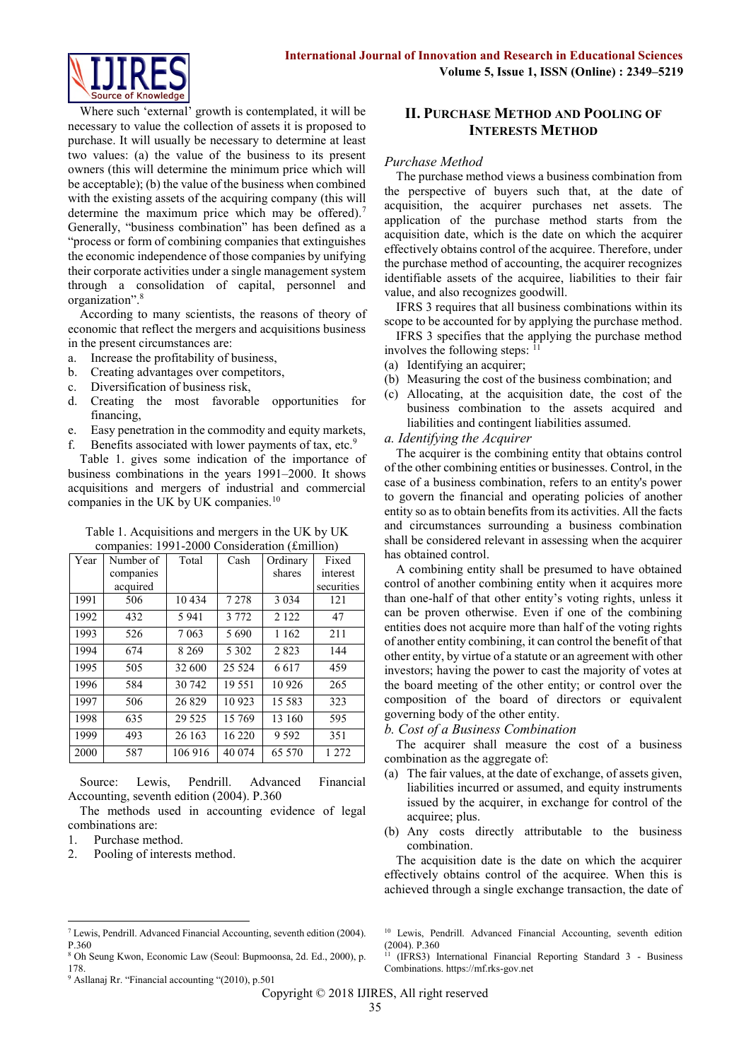

Where such 'external' growth is contemplated, it will be necessary to value the collection of assets it is proposed to purchase. It will usually be necessary to determine at least two values: (a) the value of the business to its present owners (this will determine the minimum price which will be acceptable); (b) the value of the business when combined with the existing assets of the acquiring company (this will determine the maximum price which may be offered).<sup>7</sup> Generally, "business combination" has been defined as a "process or form of combining companies that extinguishes the economic independence of those companies by unifying their corporate activities under a single management system through a consolidation of capital, personnel and organization". 8

According to many scientists, the reasons of theory of economic that reflect the mergers and acquisitions business in the present circumstances are:

- a. Increase the profitability of business,
- b. Creating advantages over competitors,
- c. Diversification of business risk,
- d. Creating the most favorable opportunities for financing,
- e. Easy penetration in the commodity and equity markets, f. Benefits associated with lower payments of tax, etc.<sup>9</sup>

Table 1. gives some indication of the importance of business combinations in the years 1991–2000. It shows acquisitions and mergers of industrial and commercial companies in the UK by UK companies.<sup>10</sup>

| Table 1. Acquisitions and mergers in the UK by UK |  |
|---------------------------------------------------|--|
| companies: 1991-2000 Consideration (£million)     |  |

| Year | Number of | Total   | Cash    | Ordinary | Fixed      |
|------|-----------|---------|---------|----------|------------|
|      | companies |         |         | shares   | interest   |
|      | acquired  |         |         |          | securities |
| 1991 | 506       | 10434   | 7 2 7 8 | 3 0 3 4  | 121        |
| 1992 | 432       | 5 9 4 1 | 3 7 7 2 | 2 1 2 2  | 47         |
| 1993 | 526       | 7 0 6 3 | 5690    | 1 1 6 2  | 211        |
| 1994 | 674       | 8 2 6 9 | 5 3 0 2 | 2823     | 144        |
| 1995 | 505       | 32 600  | 25 5 24 | 6617     | 459        |
| 1996 | 584       | 30 742  | 19551   | 10 9 26  | 265        |
| 1997 | 506       | 26829   | 10 923  | 15 5 8 3 | 323        |
| 1998 | 635       | 29 5 25 | 15 769  | 13 160   | 595        |
| 1999 | 493       | 26 163  | 16 220  | 9 5 9 2  | 351        |
| 2000 | 587       | 106 916 | 40 0 74 | 65 5 70  | 1 272      |

Source: Lewis, Pendrill. Advanced Financial Accounting, seventh edition (2004). P.360

The methods used in accounting evidence of legal combinations are:

1. Purchase method.

 $\overline{a}$ 

2. Pooling of interests method.

# **II. PURCHASE METHOD AND POOLING OF INTERESTS METHOD**

#### *Purchase Method*

The purchase method views a business combination from the perspective of buyers such that, at the date of acquisition, the acquirer purchases net assets. The application of the purchase method starts from the acquisition date, which is the date on which the acquirer effectively obtains control of the acquiree. Therefore, under the purchase method of accounting, the acquirer recognizes identifiable assets of the acquiree, liabilities to their fair value, and also recognizes goodwill.

IFRS 3 requires that all business combinations within its scope to be accounted for by applying the purchase method.

IFRS 3 specifies that the applying the purchase method involves the following steps: <sup>11</sup>

- (a) Identifying an acquirer;
- (b) Measuring the cost of the business combination; and
- (c) Allocating, at the acquisition date, the cost of the business combination to the assets acquired and liabilities and contingent liabilities assumed.

#### *a. Identifying the Acquirer*

The acquirer is the combining entity that obtains control of the other combining entities or businesses. Control, in the case of a business combination, refers to an entity's power to govern the financial and operating policies of another entity so as to obtain benefits from its activities. All the facts and circumstances surrounding a business combination shall be considered relevant in assessing when the acquirer has obtained control.

A combining entity shall be presumed to have obtained control of another combining entity when it acquires more than one-half of that other entity's voting rights, unless it can be proven otherwise. Even if one of the combining entities does not acquire more than half of the voting rights of another entity combining, it can control the benefit of that other entity, by virtue of a statute or an agreement with other investors; having the power to cast the majority of votes at the board meeting of the other entity; or control over the composition of the board of directors or equivalent governing body of the other entity.

*b. Cost of a Business Combination*

The acquirer shall measure the cost of a business combination as the aggregate of:

- (a) The fair values, at the date of exchange, of assets given, liabilities incurred or assumed, and equity instruments issued by the acquirer, in exchange for control of the acquiree; plus.
- (b) Any costs directly attributable to the business combination.

The acquisition date is the date on which the acquirer effectively obtains control of the acquiree. When this is achieved through a single exchange transaction, the date of

Copyright © 2018 IJIRES, All right reserved

<sup>7</sup> Lewis, Pendrill. Advanced Financial Accounting, seventh edition (2004). P.360

<sup>8</sup> Oh Seung Kwon, Economic Law (Seoul: Bupmoonsa, 2d. Ed., 2000), p. 178.

<sup>9</sup> Asllanaj Rr. "Financial accounting "(2010), p.501

<sup>10</sup> Lewis, Pendrill. Advanced Financial Accounting, seventh edition  $(2004)$ . P.360

<sup>11</sup> (IFRS3) International Financial Reporting Standard 3 - Business Combinations. [https://mf.rks-gov.net](https://mf.rks-gov.net/)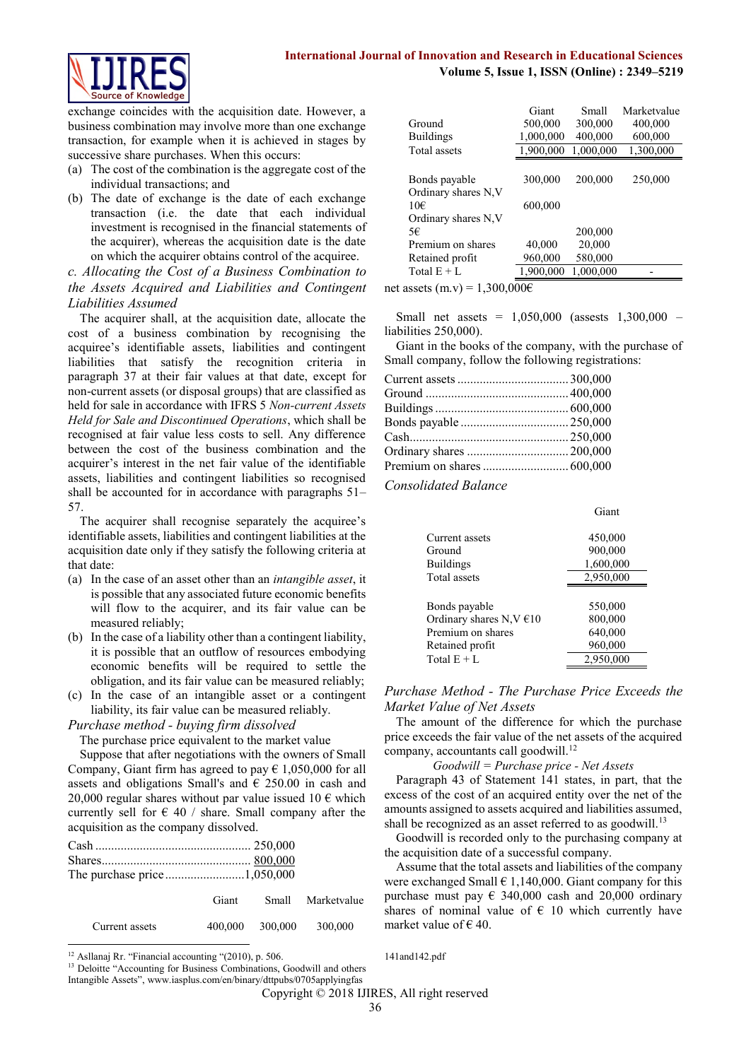# **International Journal of Innovation and Research in Educational Sciences Volume 5, Issue 1, ISSN (Online) : 2349–5219**



exchange coincides with the acquisition date. However, a business combination may involve more than one exchange transaction, for example when it is achieved in stages by successive share purchases. When this occurs:

- (a) The cost of the combination is the aggregate cost of the individual transactions; and
- (b) The date of exchange is the date of each exchange transaction (i.e. the date that each individual investment is recognised in the financial statements of the acquirer), whereas the acquisition date is the date on which the acquirer obtains control of the acquiree.

*c. Allocating the Cost of a Business Combination to the Assets Acquired and Liabilities and Contingent Liabilities Assumed*

The acquirer shall, at the acquisition date, allocate the cost of a business combination by recognising the acquiree's identifiable assets, liabilities and contingent liabilities that satisfy the recognition criteria in paragraph 37 at their fair values at that date, except for non-current assets (or disposal groups) that are classified as held for sale in accordance with IFRS 5 *Non-current Assets Held for Sale and Discontinued Operations*, which shall be recognised at fair value less costs to sell. Any difference between the cost of the business combination and the acquirer's interest in the net fair value of the identifiable assets, liabilities and contingent liabilities so recognised shall be accounted for in accordance with paragraphs 51– 57.

The acquirer shall recognise separately the acquiree's identifiable assets, liabilities and contingent liabilities at the acquisition date only if they satisfy the following criteria at that date:

- (a) In the case of an asset other than an *intangible asset*, it is possible that any associated future economic benefits will flow to the acquirer, and its fair value can be measured reliably;
- (b) In the case of a liability other than a contingent liability, it is possible that an outflow of resources embodying economic benefits will be required to settle the obligation, and its fair value can be measured reliably;
- (c) In the case of an intangible asset or a contingent liability, its fair value can be measured reliably.

#### *Purchase method - buying firm dissolved*

The purchase price equivalent to the market value

Suppose that after negotiations with the owners of Small Company, Giant firm has agreed to pay  $\epsilon$  1,050,000 for all assets and obligations Small's and  $\epsilon$  250.00 in cash and 20,000 regular shares without par value issued 10  $\epsilon$  which currently sell for  $\epsilon$  40 / share. Small company after the acquisition as the company dissolved.

|                |  | Giant Small Marketvalue |
|----------------|--|-------------------------|
| Current assets |  | 400,000 300,000 300,000 |

|  | <sup>12</sup> Asllanaj Rr. "Financial accounting "(2010), p. 506. |  |  |
|--|-------------------------------------------------------------------|--|--|

<sup>13</sup> Deloitte "Accounting for Business Combinations, Goodwill and others

| Ground<br><b>Buildings</b>  | Giant<br>500,000<br>1,000,000 | Small<br>300,000<br>400,000 | Marketvalue<br>400,000<br>600,000 |
|-----------------------------|-------------------------------|-----------------------------|-----------------------------------|
|                             |                               |                             |                                   |
| Total assets                | 1,900,000                     | 1,000,000                   | 1,300,000                         |
| Bonds payable               | 300,000                       | 200,000                     | 250,000                           |
| Ordinary shares N, V<br>10€ | 600,000                       |                             |                                   |
| Ordinary shares N,V         |                               |                             |                                   |
| 5€                          |                               | 200,000                     |                                   |
| Premium on shares           | 40,000                        | 20,000                      |                                   |
| Retained profit             | 960,000                       | 580,000                     |                                   |
| Total $E + L$               | 1,900,000                     | 1,000,000                   |                                   |
|                             | $\sim$ $\sim$ $\sim$          |                             |                                   |

net assets (m.v) = 1,300,000€

Small net assets = 1,050,000 (assests 1,300,000 – liabilities 250,000).

Giant in the books of the company, with the purchase of Small company, follow the following registrations:

*Consolidated Balance*

| Current assets                | 450,000   |
|-------------------------------|-----------|
| Ground                        | 900,000   |
| <b>Buildings</b>              | 1,600,000 |
| Total assets                  | 2,950,000 |
|                               |           |
| Bonds payable                 | 550,000   |
| Ordinary shares N, $V \in 10$ | 800,000   |
| Premium on shares             | 640,000   |
| Retained profit               | 960,000   |
| Total $E + L$                 | 2,950,000 |
|                               |           |

Giant

### *Purchase Method - The Purchase Price Exceeds the Market Value of Net Assets*

The amount of the difference for which the purchase price exceeds the fair value of the net assets of the acquired company, accountants call goodwill.<sup>12</sup>

#### *Goodwill = Purchase price - Net Assets*

Paragraph 43 of Statement 141 states, in part, that the excess of the cost of an acquired entity over the net of the amounts assigned to assets acquired and liabilities assumed, shall be recognized as an asset referred to as goodwill.<sup>13</sup>

Goodwill is recorded only to the purchasing company at the acquisition date of a successful company.

Assume that the total assets and liabilities of the company were exchanged Small  $\in 1,140,000$ . Giant company for this purchase must pay  $\epsilon$  340,000 cash and 20,000 ordinary shares of nominal value of  $\epsilon$  10 which currently have market value of  $\epsilon$  40.

[141and142.pdf](http://www.iasplus.com/en/binary/dttpubs/0705applyingfas141and142.pdf)

#### Copyright © 2018 IJIRES, All right reserved

Intangible Assets", www.iasplus.com/en/binary/dttpubs/0705applyingfas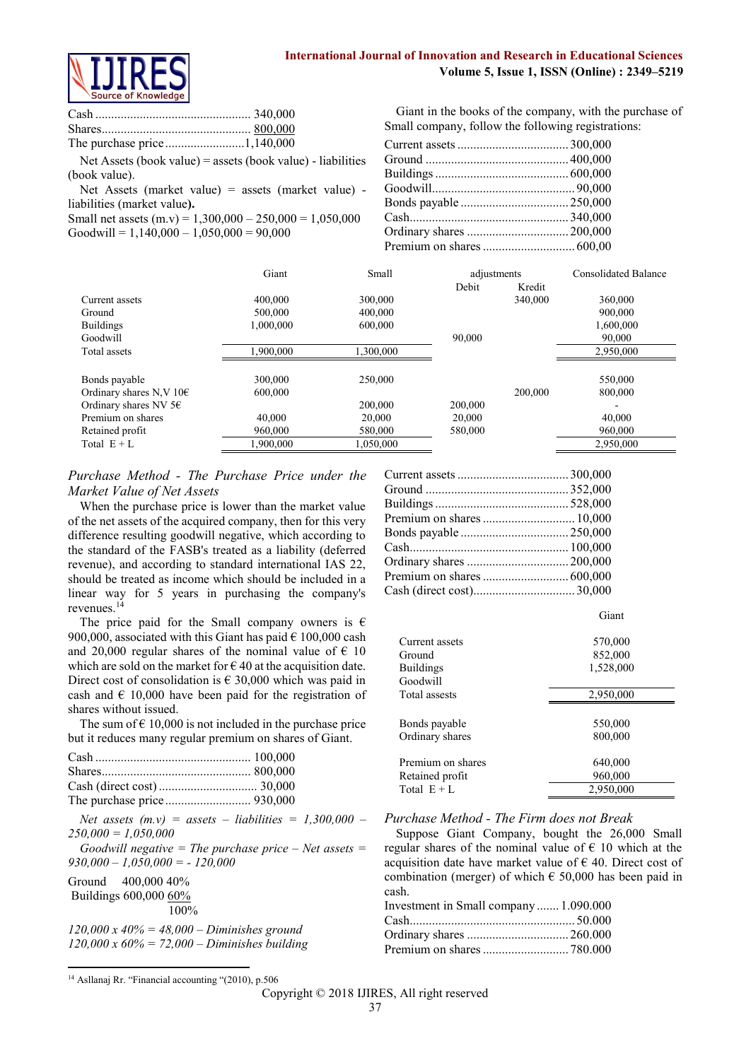

Net Assets (book value) = assets (book value) - liabilities (book value).

Net Assets (market value) = assets (market value) liabilities (market value**).**

Small net assets  $(m.v) = 1,300,000 - 250,000 = 1,050,000$  $Goodwill = 1.140,000 - 1.050,000 = 90,000$ 

Giant in the books of the company, with the purchase of Small company, follow the following registrations:

|                                   | Giant     | Small     | adjustments |         | <b>Consolidated Balance</b> |
|-----------------------------------|-----------|-----------|-------------|---------|-----------------------------|
|                                   |           |           | Debit       | Kredit  |                             |
| Current assets                    | 400,000   | 300,000   |             | 340,000 | 360,000                     |
| Ground                            | 500,000   | 400,000   |             |         | 900,000                     |
| <b>Buildings</b>                  | 1,000,000 | 600,000   |             |         | 1,600,000                   |
| Goodwill                          |           |           | 90,000      |         | 90,000                      |
| Total assets                      | 1,900,000 | 1.300.000 |             |         | 2,950,000                   |
|                                   |           |           |             |         |                             |
| Bonds payable                     | 300,000   | 250,000   |             |         | 550,000                     |
| Ordinary shares N, V $10\epsilon$ | 600,000   |           |             | 200,000 | 800,000                     |
| Ordinary shares NV $56$           |           | 200,000   | 200,000     |         |                             |
| Premium on shares                 | 40.000    | 20,000    | 20.000      |         | 40.000                      |
| Retained profit                   | 960,000   | 580,000   | 580,000     |         | 960,000                     |
| Total $E + L$                     | 1.900.000 | 1,050,000 |             |         | 2,950,000                   |

# *Purchase Method - The Purchase Price under the Market Value of Net Assets*

When the purchase price is lower than the market value of the net assets of the acquired company, then for this very difference resulting goodwill negative, which according to the standard of the FASB's treated as a liability (deferred revenue), and according to standard international IAS 22, should be treated as income which should be included in a linear way for 5 years in purchasing the company's revenues.<sup>14</sup>

The price paid for the Small company owners is  $\epsilon$ 900,000, associated with this Giant has paid  $\epsilon$  100,000 cash and 20,000 regular shares of the nominal value of  $\epsilon$  10 which are sold on the market for  $\epsilon$  40 at the acquisition date. Direct cost of consolidation is  $\epsilon$  30,000 which was paid in cash and  $\epsilon$  10,000 have been paid for the registration of shares without issued.

The sum of  $\epsilon$  10,000 is not included in the purchase price but it reduces many regular premium on shares of Giant.

| $250,000 = 1,050,000$<br>$930,000 - 1,050,000 = -120,000$                                                  | Net assets $(m.v)$ = assets - liabilities = 1,300,000 -<br>Goodwill negative = The purchase price $-$ Net assets = |
|------------------------------------------------------------------------------------------------------------|--------------------------------------------------------------------------------------------------------------------|
| Ground $400,000,40\%$<br>Buildings 600,000 60%<br>$100\%$                                                  |                                                                                                                    |
| $120,000 \times 40\% = 48,000 -$ Diminishes ground<br>$120,000 \times 60\% = 72,000 -$ Diminishes building |                                                                                                                    |

| Current assets    | 570,000   |
|-------------------|-----------|
| Ground            | 852,000   |
| <b>Buildings</b>  | 1,528,000 |
| Goodwill          |           |
| Total assests     | 2,950,000 |
|                   |           |
| Bonds payable     | 550,000   |
| Ordinary shares   | 800,000   |
|                   |           |
| Premium on shares | 640,000   |
| Retained profit   | 960,000   |
| Total $E + L$     | 2,950,000 |

Giant

*Purchase Method - The Firm does not Break*

Suppose Giant Company, bought the 26,000 Small regular shares of the nominal value of  $\epsilon$  10 which at the acquisition date have market value of  $\epsilon$  40. Direct cost of combination (merger) of which  $\epsilon$  50,000 has been paid in cash.

| Investment in Small company 1.090.000 |  |
|---------------------------------------|--|
|                                       |  |
|                                       |  |
|                                       |  |

**.** 

<sup>&</sup>lt;sup>14</sup> Asllanaj Rr. "Financial accounting "(2010), p.506

Copyright © 2018 IJIRES, All right reserved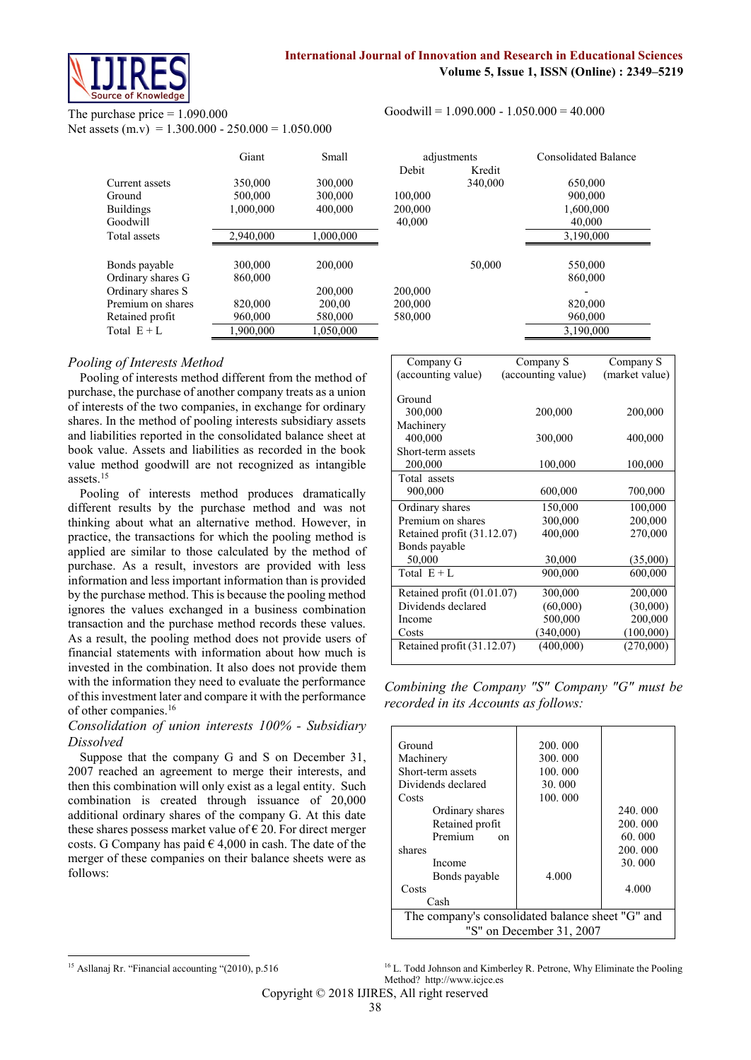

# The purchase price  $= 1.090.000$

Net assets  $(m.v) = 1.300.000 - 250.000 = 1.050.000$ 

|                   | Giant     | Small<br>adjustments |         |         | Consolidated B |
|-------------------|-----------|----------------------|---------|---------|----------------|
|                   |           |                      | Debit   | Kredit  |                |
| Current assets    | 350,000   | 300,000              |         | 340,000 | 650,000        |
| Ground            | 500,000   | 300,000              | 100,000 |         | 900,000        |
| <b>Buildings</b>  | 1,000,000 | 400,000              | 200,000 |         | 1,600,000      |
| Goodwill          |           |                      | 40,000  |         | 40,000         |
| Total assets      | 2,940,000 | 1,000,000            |         |         | 3,190,000      |
| Bonds payable     | 300,000   | 200,000              |         | 50,000  | 550,000        |
| Ordinary shares G | 860,000   |                      |         |         | 860,000        |
| Ordinary shares S |           | 200.000              | 200,000 |         |                |
| Premium on shares | 820,000   | 200,00               | 200,000 |         | 820,000        |
| Retained profit   | 960,000   | 580,000              | 580,000 |         | 960,000        |
| Total $E + L$     | 1,900,000 | 1,050,000            |         |         | 3,190,000      |

# *Pooling of Interests Method*

Pooling of interests method different from the method of purchase, the purchase of another company treats as a union of interests of the two companies, in exchange for ordinary shares. In the method of pooling interests subsidiary assets and liabilities reported in the consolidated balance sheet at book value. Assets and liabilities as recorded in the book value method goodwill are not recognized as intangible assets.<sup>15</sup>

Pooling of interests method produces dramatically different results by the purchase method and was not thinking about what an alternative method. However, in practice, the transactions for which the pooling method is applied are similar to those calculated by the method of purchase. As a result, investors are provided with less information and less important information than is provided by the purchase method. This is because the pooling method ignores the values exchanged in a business combination transaction and the purchase method records these values. As a result, the pooling method does not provide users of financial statements with information about how much is invested in the combination. It also does not provide them with the information they need to evaluate the performance of this investment later and compare it with the performance of other companies.<sup>16</sup>

# *Consolidation of union interests 100% - Subsidiary Dissolved*

Suppose that the company G and S on December 31, 2007 reached an agreement to merge their interests, and then this combination will only exist as a legal entity. Such combination is created through issuance of 20,000 additional ordinary shares of the company G. At this date these shares possess market value of  $\epsilon$  20. For direct merger costs. G Company has paid  $\in$  4,000 in cash. The date of the merger of these companies on their balance sheets were as follows:

Goodwill =  $1.090.000 - 1.050.000 = 40.000$ 

| Giant   | Small     | adjustments |         | <b>Consolidated Balance</b> |
|---------|-----------|-------------|---------|-----------------------------|
|         |           | Debit       | Kredit  |                             |
| 50,000  | 300,000   |             | 340,000 | 650,000                     |
| 00,000  | 300,000   | 100,000     |         | 900,000                     |
| 000,000 | 400,000   | 200,000     |         | 1,600,000                   |
|         |           | 40,000      |         | 40,000                      |
| 940,000 | 1,000,000 |             |         | 3,190,000                   |
| 00,000  | 200,000   |             | 50,000  | 550,000                     |
| 60,000  |           |             |         | 860,000                     |
|         | 200,000   | 200,000     |         |                             |
| 20,000  | 200.00    | 200,000     |         | 820,000                     |
| 60,000  | 580,000   | 580,000     |         | 960,000                     |
| 900,000 | 1,050,000 |             |         | 3,190,000                   |

| Company G                    | Company S          | Company S      |
|------------------------------|--------------------|----------------|
| (accounting value)           | (accounting value) | (market value) |
|                              |                    |                |
| Ground                       |                    |                |
| 300,000                      | 200,000            | 200,000        |
| Machinery                    |                    |                |
| 400,000                      | 300,000            | 400,000        |
| Short-term assets            |                    |                |
| 200,000                      | 100,000            | 100,000        |
| Total assets                 |                    |                |
| 900,000                      | 600,000            | 700,000        |
| Ordinary shares              | 150,000            | 100,000        |
| Premium on shares            | 300,000            | 200,000        |
| Retained profit $(31.12.07)$ | 400,000            | 270,000        |
| Bonds payable                |                    |                |
| 50,000                       | 30,000             | (35,000)       |
| Total $E + L$                | 900,000            | 600,000        |
| Retained profit (01.01.07)   | 300,000            | 200,000        |
| Dividends declared           | (60,000)           | (30,000)       |
| Income                       | 500,000            | 200,000        |
| Costs                        | (340,000)          | (100,000)      |
| Retained profit (31.12.07)   | (400,000)          | (270,000)      |
|                              |                    |                |

*Combining the Company "S" Company "G" must be recorded in its Accounts as follows:*

| Ground                                           | 200, 000                 |         |  |
|--------------------------------------------------|--------------------------|---------|--|
|                                                  |                          |         |  |
| Machinery                                        | 300.000                  |         |  |
| Short-term assets                                | 100.000                  |         |  |
| Dividends declared                               | 30.000                   |         |  |
| Costs                                            | 100.000                  |         |  |
| Ordinary shares                                  |                          | 240.000 |  |
| Retained profit                                  |                          | 200.000 |  |
| Premium<br><sub>on</sub>                         |                          | 60.000  |  |
| shares                                           |                          | 200.000 |  |
| Income                                           |                          | 30.000  |  |
| Bonds payable                                    | 4.000                    |         |  |
| Costs                                            |                          | 4.000   |  |
| Cash                                             |                          |         |  |
| The company's consolidated balance sheet "G" and |                          |         |  |
|                                                  | "S" on December 31, 2007 |         |  |

Copyright © 2018 IJIRES, All right reserved

**<sup>.</sup>** <sup>15</sup> Asllanaj Rr. "Financial accounting "(2010), p.516

<sup>&</sup>lt;sup>16</sup> L. Todd Johnson and Kimberley R. Petrone, Why Eliminate the Pooling Method? [http://www.icjce.es](http://www.icjce.es/)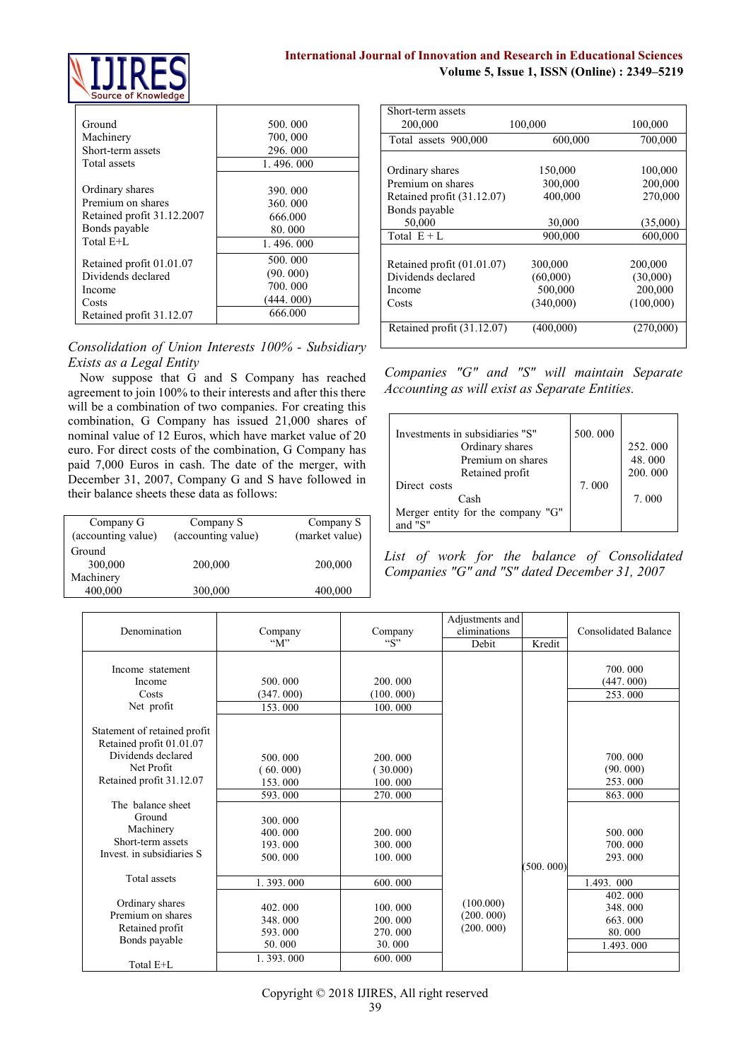

| Ground                     | 500.000   |
|----------------------------|-----------|
| Machinery                  | 700,000   |
| Short-term assets          | 296, 000  |
| Total assets               | 1.496.000 |
| Ordinary shares            | 390,000   |
| Premium on shares          | 360.000   |
| Retained profit 31.12.2007 | 666.000   |
| Bonds payable              | 80.000    |
| Total E+L                  | 1.496.000 |
| Retained profit 01.01.07   | 500.000   |
| Dividends declared         | (90.000)  |
| Income                     | 700.000   |
| Costs                      | (444.000) |
| Retained profit 31.12.07   | 666.000   |

*Consolidation of Union Interests 100% - Subsidiary Exists as a Legal Entity* 

Now suppose that G and S Company has reached agreement to join 100% to their interests and after this there will be a combination of two companies. For creating this combination, G Company has issued 21,000 shares of nominal value of 12 Euros, which have market value of 20 euro. For direct costs of the combination, G Company has paid 7,000 Euros in cash. The date of the merger, with December 31, 2007, Company G and S have followed in their balance sheets these data as follows:

| Company G          | Company S          | Company S      |
|--------------------|--------------------|----------------|
| (accounting value) | (accounting value) | (market value) |
| Ground             |                    |                |
| 300,000            | 200,000            | 200,000        |
| Machinery          |                    |                |
| 400,000            | 300,000            | 400,000        |

| Short-term assets          |           |           |
|----------------------------|-----------|-----------|
| 200,000                    | 100,000   | 100,000   |
| Total assets 900,000       | 600,000   | 700,000   |
|                            |           |           |
| Ordinary shares            | 150,000   | 100,000   |
| Premium on shares          | 300,000   | 200,000   |
| Retained profit (31.12.07) | 400,000   | 270,000   |
| Bonds payable              |           |           |
| 50,000                     | 30,000    | (35,000)  |
| Total $E + L$              | 900,000   | 600,000   |
|                            |           |           |
| Retained profit (01.01.07) | 300,000   | 200,000   |
| Dividends declared         | (60,000)  | (30,000)  |
| Income                     | 500,000   | 200,000   |
| Costs                      | (340,000) | (100,000) |
| Retained profit (31.12.07) | (400,000) | (270,000) |

*Companies "G" and "S" will maintain Separate Accounting as will exist as Separate Entities.* 

| Investments in subsidiaries "S"<br>Ordinary shares<br>Premium on shares<br>Retained profit | 500.000 | 252.000<br>48.000<br>200,000 |
|--------------------------------------------------------------------------------------------|---------|------------------------------|
| Direct costs                                                                               | 7.000   |                              |
| Cash                                                                                       |         | 7.000                        |
| Merger entity for the company "G"<br>and $"S"$                                             |         |                              |

*List of work for the balance of Consolidated Companies "G" and "S" dated December 31, 2007*

| Denomination                                                                                                                                                         | Company<br>" $M$ "                                                | Company<br>``S"                                               | Adjustments and<br>eliminations<br>Debit | Kredit    | <b>Consolidated Balance</b>                                       |
|----------------------------------------------------------------------------------------------------------------------------------------------------------------------|-------------------------------------------------------------------|---------------------------------------------------------------|------------------------------------------|-----------|-------------------------------------------------------------------|
| Income statement<br>Income<br>Costs<br>Net profit                                                                                                                    | 500.000<br>(347, 000)<br>153.000                                  | 200.000<br>(100.000)<br>100.000                               |                                          |           | 700.000<br>(447.000)<br>253.000                                   |
| Statement of retained profit<br>Retained profit 01.01.07<br>Dividends declared<br>Net Profit<br>Retained profit 31.12.07<br>The balance sheet<br>Ground<br>Machinery | 500.000<br>(60, 000)<br>153.000<br>593.000<br>300.000<br>400.000  | 200.000<br>(30.000)<br>100.000<br>270,000<br>200.000          |                                          |           | 700.000<br>(90.000)<br>253.000<br>863.000<br>500.000              |
| Short-term assets<br>Invest, in subsidiaries S                                                                                                                       | 193.000<br>500.000                                                | 300.000<br>100.000                                            |                                          | (500.000) | 700.000<br>293.000                                                |
| <b>Total assets</b><br>Ordinary shares<br>Premium on shares<br>Retained profit<br>Bonds payable                                                                      | 1.393.000<br>402.000<br>348.000<br>593.000<br>50.000<br>1.393.000 | 600.000<br>100.000<br>200.000<br>270,000<br>30.000<br>600.000 | (100.000)<br>(200.000)<br>(200.000)      |           | 1.493.000<br>402.000<br>348.000<br>663.000<br>80.000<br>1.493.000 |
| Total E+L                                                                                                                                                            |                                                                   |                                                               |                                          |           |                                                                   |